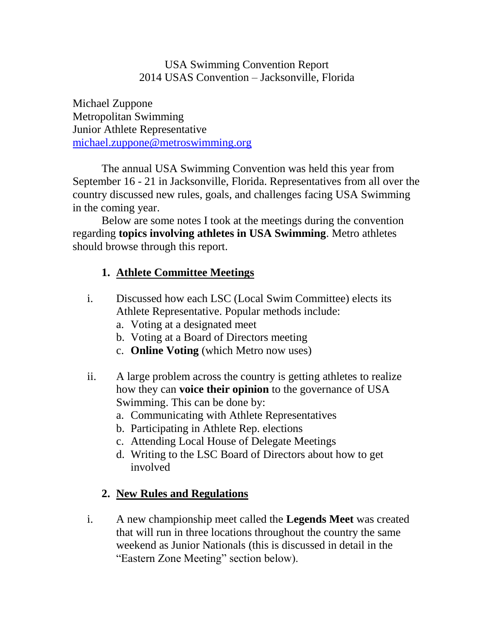#### USA Swimming Convention Report 2014 USAS Convention – Jacksonville, Florida

Michael Zuppone Metropolitan Swimming Junior Athlete Representative [michael.zuppone@metroswimming.org](mailto:michael.zuppone@metroswimming.org)

The annual USA Swimming Convention was held this year from September 16 - 21 in Jacksonville, Florida. Representatives from all over the country discussed new rules, goals, and challenges facing USA Swimming in the coming year.

Below are some notes I took at the meetings during the convention regarding **topics involving athletes in USA Swimming**. Metro athletes should browse through this report.

#### **1. Athlete Committee Meetings**

- i. Discussed how each LSC (Local Swim Committee) elects its Athlete Representative. Popular methods include:
	- a. Voting at a designated meet
	- b. Voting at a Board of Directors meeting
	- c. **Online Voting** (which Metro now uses)
- ii. A large problem across the country is getting athletes to realize how they can **voice their opinion** to the governance of USA Swimming. This can be done by:
	- a. Communicating with Athlete Representatives
	- b. Participating in Athlete Rep. elections
	- c. Attending Local House of Delegate Meetings
	- d. Writing to the LSC Board of Directors about how to get involved

### **2. New Rules and Regulations**

i. A new championship meet called the **Legends Meet** was created that will run in three locations throughout the country the same weekend as Junior Nationals (this is discussed in detail in the "Eastern Zone Meeting" section below).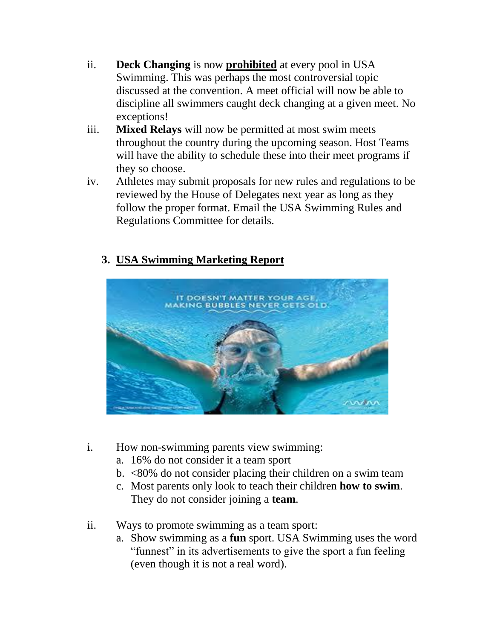- ii. **Deck Changing** is now **prohibited** at every pool in USA Swimming. This was perhaps the most controversial topic discussed at the convention. A meet official will now be able to discipline all swimmers caught deck changing at a given meet. No exceptions!
- iii. **Mixed Relays** will now be permitted at most swim meets throughout the country during the upcoming season. Host Teams will have the ability to schedule these into their meet programs if they so choose.
- iv. Athletes may submit proposals for new rules and regulations to be reviewed by the House of Delegates next year as long as they follow the proper format. Email the USA Swimming Rules and Regulations Committee for details.

#### **3. USA Swimming Marketing Report**



- i. How non-swimming parents view swimming:
	- a. 16% do not consider it a team sport
	- b. <80% do not consider placing their children on a swim team
	- c. Most parents only look to teach their children **how to swim**. They do not consider joining a **team**.
- ii. Ways to promote swimming as a team sport:
	- a. Show swimming as a **fun** sport. USA Swimming uses the word "funnest" in its advertisements to give the sport a fun feeling (even though it is not a real word).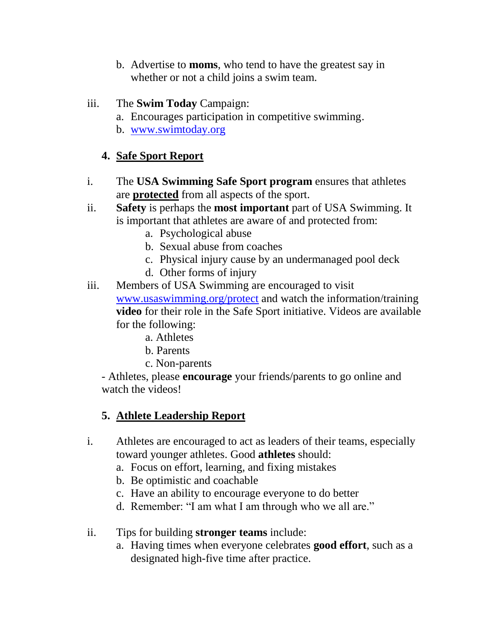- b. Advertise to **moms**, who tend to have the greatest say in whether or not a child joins a swim team.
- iii. The **Swim Today** Campaign:
	- a. Encourages participation in competitive swimming.
	- b. [www.swimtoday.org](http://www.swimtoday.org/)

### **4. Safe Sport Report**

- i. The **USA Swimming Safe Sport program** ensures that athletes are **protected** from all aspects of the sport.
- ii. **Safety** is perhaps the **most important** part of USA Swimming. It is important that athletes are aware of and protected from:
	- a. Psychological abuse
	- b. Sexual abuse from coaches
	- c. Physical injury cause by an undermanaged pool deck
	- d. Other forms of injury
- iii. Members of USA Swimming are encouraged to visit [www.usaswimming.org/protect](http://www.usaswimming.org/protect) and watch the information/training **video** for their role in the Safe Sport initiative. Videos are available for the following:
	- a. Athletes
	- b. Parents
	- c. Non-parents

- Athletes, please **encourage** your friends/parents to go online and watch the videos!

### **5. Athlete Leadership Report**

- i. Athletes are encouraged to act as leaders of their teams, especially toward younger athletes. Good **athletes** should:
	- a. Focus on effort, learning, and fixing mistakes
	- b. Be optimistic and coachable
	- c. Have an ability to encourage everyone to do better
	- d. Remember: "I am what I am through who we all are."
- ii. Tips for building **stronger teams** include:
	- a. Having times when everyone celebrates **good effort**, such as a designated high-five time after practice.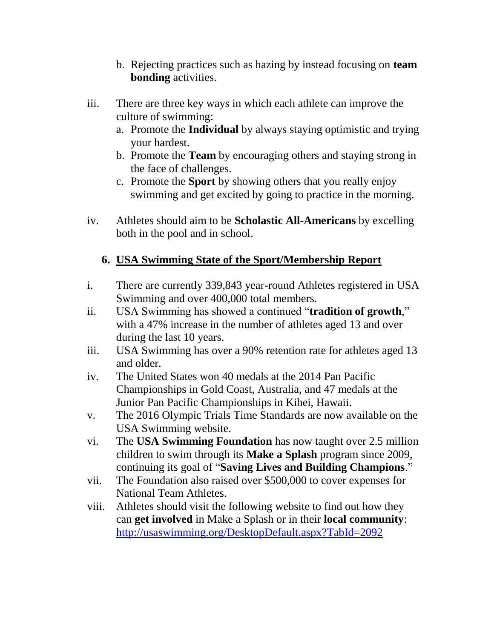- b. Rejecting practices such as hazing by instead focusing on **team bonding** activities.
- iii. There are three key ways in which each athlete can improve the culture of swimming:
	- a. Promote the **Individual** by always staying optimistic and trying your hardest.
	- b. Promote the **Team** by encouraging others and staying strong in the face of challenges.
	- c. Promote the **Sport** by showing others that you really enjoy swimming and get excited by going to practice in the morning.
- iv. Athletes should aim to be **Scholastic All-Americans** by excelling both in the pool and in school.

#### **6. USA Swimming State of the Sport/Membership Report**

- i. There are currently 339,843 year-round Athletes registered in USA Swimming and over 400,000 total members.
- ii. USA Swimming has showed a continued "**tradition of growth**," with a 47% increase in the number of athletes aged 13 and over during the last 10 years.
- iii. USA Swimming has over a 90% retention rate for athletes aged 13 and older.
- iv. The United States won 40 medals at the 2014 Pan Pacific Championships in Gold Coast, Australia, and 47 medals at the Junior Pan Pacific Championships in Kihei, Hawaii.
- v. The 2016 Olympic Trials Time Standards are now available on the USA Swimming website.
- vi. The **USA Swimming Foundation** has now taught over 2.5 million children to swim through its **Make a Splash** program since 2009, continuing its goal of "**Saving Lives and Building Champions**."
- vii. The Foundation also raised over \$500,000 to cover expenses for National Team Athletes.
- viii. Athletes should visit the following website to find out how they can **get involved** in Make a Splash or in their **local community**: <http://usaswimming.org/DesktopDefault.aspx?TabId=2092>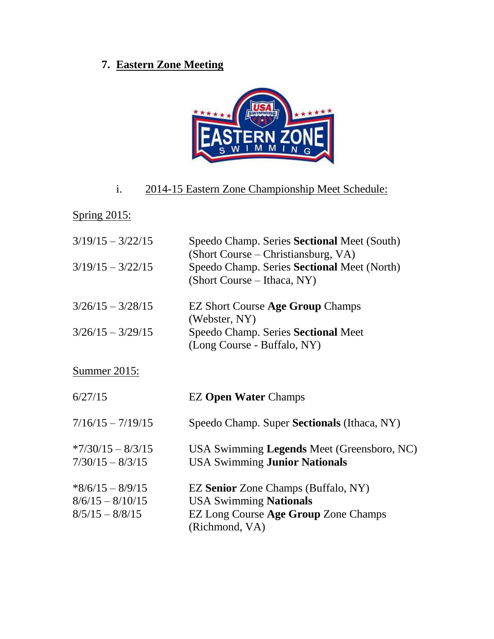# **7. Eastern Zone Meeting**



# i. 2014-15 Eastern Zone Championship Meet Schedule:

# Spring 2015:

| $3/19/15 - 3/22/15$<br>$3/19/15 - 3/22/15$ | Speedo Champ. Series Sectional Meet (South)<br>(Short Course – Christiansburg, VA)<br>Speedo Champ. Series Sectional Meet (North)<br>(Short Course – Ithaca, NY) |
|--------------------------------------------|------------------------------------------------------------------------------------------------------------------------------------------------------------------|
| $3/26/15 - 3/28/15$<br>$3/26/15 - 3/29/15$ | <b>EZ Short Course Age Group Champs</b><br>(Webster, NY)<br>Speedo Champ. Series Sectional Meet<br>(Long Course - Buffalo, NY)                                   |
| Summer 2015:                               |                                                                                                                                                                  |
|                                            |                                                                                                                                                                  |
| 6/27/15                                    | <b>EZ Open Water Champs</b>                                                                                                                                      |
| $7/16/15 - 7/19/15$                        | Speedo Champ. Super <b>Sectionals</b> (Ithaca, NY)                                                                                                               |
| $*7/30/15 - 8/3/15$<br>$7/30/15 - 8/3/15$  | USA Swimming Legends Meet (Greensboro, NC)<br><b>USA Swimming Junior Nationals</b>                                                                               |